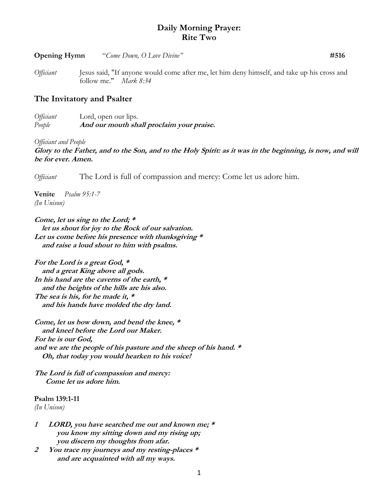## **Daily Morning Prayer: Rite Two**

| Opening Hymn | "Come Down, O Love Divine" | #516 |
|--------------|----------------------------|------|
|              |                            |      |

*Officiant* Jesus said, "If anyone would come after me, let him deny himself, and take up his cross and follow me." *Mark 8:34*

## **The Invitatory and Psalter**

*Officiant* Lord, open our lips. *People* **And our mouth shall proclaim your praise.**

*Officiant and People*

**Glory to the Father, and to the Son, and to the Holy Spirit: as it was in the beginning, is now, and will be for ever. Amen.**

*Officiant* The Lord is full of compassion and mercy: Come let us adore him.

**Venite** *Psalm 95:1-7 (In Unison)*

**Come, let us sing to the Lord; \* let us shout for joy to the Rock of our salvation. Let us come before his presence with thanksgiving \* and raise a loud shout to him with psalms.**

**For the Lord is a great God, \* and a great King above all gods. In his hand are the caverns of the earth, \* and the heights of the hills are his also. The sea is his, for he made it, \* and his hands have molded the dry land.**

**Come, let us bow down, and bend the knee, \* and kneel before the Lord our Maker. For he is our God, and we are the people of his pasture and the sheep of his hand. \* Oh, that today you would hearken to his voice!**

**The Lord is full of compassion and mercy: Come let us adore him.**

**Psalm 139:1-11** *(In Unison)*

- **1 LORD, you have searched me out and known me; \* you know my sitting down and my rising up; you discern my thoughts from afar.**
- **2 You trace my journeys and my resting-places \* and are acquainted with all my ways.**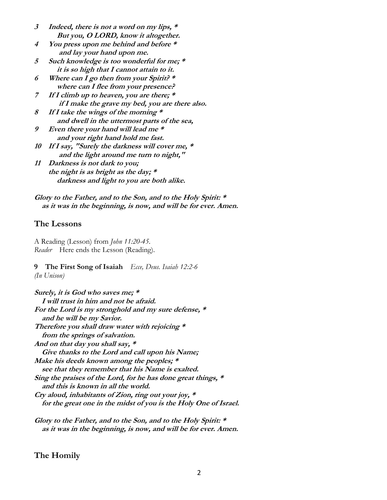- **3 Indeed, there is not a word on my lips, \* But you, O LORD, know it altogether.**
- **4 You press upon me behind and before \* and lay your hand upon me.**
- **5 Such knowledge is too wonderful for me; \* it is so high that I cannot attain to it.**
- **6 Where can I go then from your Spirit? \* where can I flee from your presence?**
- **7 If I climb up to heaven, you are there; \* if I make the grave my bed, you are there also.**
- **8 If I take the wings of the morning \* and dwell in the uttermost parts of the sea,**
- **9 Even there your hand will lead me \* and your right hand hold me fast.**
- **10 If I say, "Surely the darkness will cover me, \* and the light around me turn to night,"**
- **11 Darkness is not dark to you; the night is as bright as the day; \* darkness and light to you are both alike.**

**Glory to the Father, and to the Son, and to the Holy Spirit: \* as it was in the beginning, is now, and will be for ever. Amen.**

## **The Lessons**

A Reading (Lesson) from *John 11:20-45*. *Reader* Here ends the Lesson (Reading).

## **9 The First Song of Isaiah** *Ecce, Deus. Isaiah 12:2-6*

*(In Unison)*

**Surely, it is God who saves me; \* I will trust in him and not be afraid. For the Lord is my stronghold and my sure defense, \* and he will be my Savior. Therefore you shall draw water with rejoicing \* from the springs of salvation. And on that day you shall say, \* Give thanks to the Lord and call upon his Name; Make his deeds known among the peoples; \* see that they remember that his Name is exalted. Sing the praises of the Lord, for he has done great things, \* and this is known in all the world. Cry aloud, inhabitants of Zion, ring out your joy, \* for the great one in the midst of you is the Holy One of Israel.**

**Glory to the Father, and to the Son, and to the Holy Spirit: \* as it was in the beginning, is now, and will be for ever. Amen.**

## **The Homily**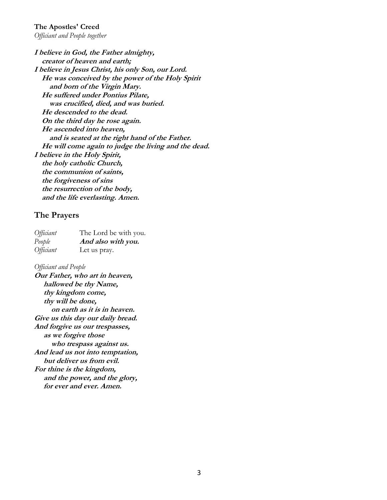# **The Apostles' Creed**

*Officiant and People together*

**I believe in God, the Father almighty, creator of heaven and earth; I believe in Jesus Christ, his only Son, our Lord. He was conceived by the power of the Holy Spirit and born of the Virgin Mary. He suffered under Pontius Pilate, was crucified, died, and was buried. He descended to the dead. On the third day he rose again. He ascended into heaven, and is seated at the right hand of the Father. He will come again to judge the living and the dead. I believe in the Holy Spirit, the holy catholic Church, the communion of saints, the forgiveness of sins the resurrection of the body, and the life everlasting. Amen.**

### **The Prayers**

| <i>Officiant</i> | The Lord be with you. |
|------------------|-----------------------|
| People           | And also with you.    |
| <i>Officiant</i> | Let us pray.          |

*Officiant and People*

**Our Father, who art in heaven, hallowed be thy Name, thy kingdom come, thy will be done, on earth as it is in heaven. Give us this day our daily bread. And forgive us our trespasses, as we forgive those who trespass against us. And lead us not into temptation, but deliver us from evil. For thine is the kingdom, and the power, and the glory, for ever and ever. Amen.**